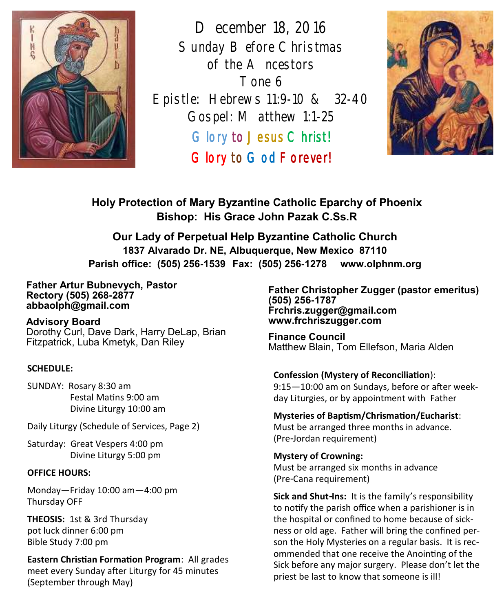

*December 18, 2016 Sunday Before Christmas of the Ancestors Tone 6 Epistle: Hebrews 11:9-10 & 32-40 Gospel: Matthew 1:1-25*  Glory to Jesus Christ! Glory to God Forever!



**Holy Protection of Mary Byzantine Catholic Eparchy of Phoenix Bishop: His Grace John Pazak C.Ss.R**

**Our Lady of Perpetual Help Byzantine Catholic Church 1837 Alvarado Dr. NE, Albuquerque, New Mexico 87110 Parish office: (505) 256-1539 Fax: (505) 256-1278 www.olphnm.org**

#### **Father Artur Bubnevych, Pastor Rectory (505) 268-2877 abbaolph@gmail.com**

**Advisory Board**  Dorothy Curl, Dave Dark, Harry DeLap, Brian Fitzpatrick, Luba Kmetyk, Dan Riley

#### **SCHEDULE:**

SUNDAY: Rosary 8:30 am Festal Matins 9:00 am Divine Liturgy 10:00 am

Daily Liturgy (Schedule of Services, Page 2)

Saturday: Great Vespers 4:00 pm Divine Liturgy 5:00 pm

#### **OFFICE HOURS:**

Monday—Friday 10:00 am—4:00 pm Thursday OFF

**THEOSIS:** 1st & 3rd Thursday pot luck dinner 6:00 pm Bible Study 7:00 pm

**Eastern Christian Formation Program**: All grades meet every Sunday after Liturgy for 45 minutes (September through May)

**Father Christopher Zugger (pastor emeritus) (505) 256-1787 Frchris.zugger@gmail.com www.frchriszugger.com** 

**Finance Council**  Matthew Blain, Tom Ellefson, Maria Alden

# **Confession (Mystery of Reconciliation**):

9:15—10:00 am on Sundays, before or after weekday Liturgies, or by appointment with Father

#### **Mysteries of Baptism/Chrismation/Eucharist**: Must be arranged three months in advance. (Pre-Jordan requirement)

**Mystery of Crowning:**  Must be arranged six months in advance (Pre-Cana requirement)

**Sick and Shut-Ins:** It is the family's responsibility to notify the parish office when a parishioner is in the hospital or confined to home because of sickness or old age. Father will bring the confined person the Holy Mysteries on a regular basis. It is recommended that one receive the Anointing of the Sick before any major surgery. Please don't let the priest be last to know that someone is ill!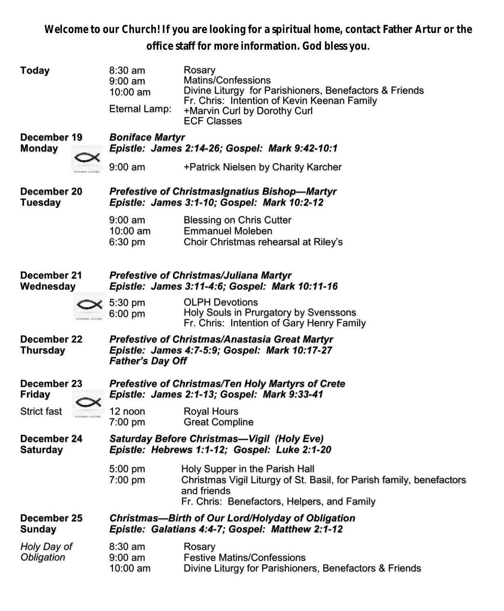**Welcome to our Church! If you are looking for a spiritual home, contact Father Artur or the office staff for more information. God bless you.**

| <b>Today</b>                   |  | $8:30$ am<br>$9:00 \text{ am}$<br>10:00 am<br>Eternal Lamp:                                                                | Rosary<br>Matins/Confessions<br>Divine Liturgy for Parishioners, Benefactors & Friends<br>Fr. Chris: Intention of Kevin Keenan Family<br>+Marvin Curl by Dorothy Curl<br><b>ECF Classes</b> |  |  |  |
|--------------------------------|--|----------------------------------------------------------------------------------------------------------------------------|---------------------------------------------------------------------------------------------------------------------------------------------------------------------------------------------|--|--|--|
| December 19                    |  | <b>Boniface Martyr</b>                                                                                                     |                                                                                                                                                                                             |  |  |  |
| <b>Monday</b>                  |  | Epistle: James 2:14-26; Gospel: Mark 9:42-10:1                                                                             |                                                                                                                                                                                             |  |  |  |
|                                |  | 9:00 am                                                                                                                    | +Patrick Nielsen by Charity Karcher                                                                                                                                                         |  |  |  |
| December 20<br>Tuesday         |  | <b>Prefestive of ChristmasIgnatius Bishop-Martyr</b><br>Epistle: James 3:1-10; Gospel: Mark 10:2-12                        |                                                                                                                                                                                             |  |  |  |
|                                |  | $9:00 \text{ am}$                                                                                                          | <b>Blessing on Chris Cutter</b>                                                                                                                                                             |  |  |  |
|                                |  | 10:00 am<br>6:30 pm                                                                                                        | <b>Emmanuel Moleben</b><br>Choir Christmas rehearsal at Riley's                                                                                                                             |  |  |  |
|                                |  |                                                                                                                            |                                                                                                                                                                                             |  |  |  |
| December 21<br>Wednesday       |  | Prefestive of Christmas/Juliana Martyr                                                                                     |                                                                                                                                                                                             |  |  |  |
|                                |  | Epistle: James 3:11-4:6; Gospel: Mark 10:11-16                                                                             |                                                                                                                                                                                             |  |  |  |
|                                |  | 5:30 pm<br>6:00 pm                                                                                                         | <b>OLPH Devotions</b><br>Holy Souls in Prurgatory by Svenssons<br>Fr. Chris: Intention of Gary Henry Family                                                                                 |  |  |  |
| December 22<br>Thursday        |  | Prefestive of Christmas/Anastasia Great Martyr<br>Epistle: James 4:7-5:9; Gospel: Mark 10:17-27<br><b>Father's Day Off</b> |                                                                                                                                                                                             |  |  |  |
| December 23<br><b>Friday</b>   |  | <b>Prefestive of Christmas/Ten Holy Martyrs of Crete</b><br>Epistle: James 2:1-13; Gospel: Mark 9:33-41                    |                                                                                                                                                                                             |  |  |  |
| Strict fast                    |  | 12 noon<br>7:00 pm                                                                                                         | <b>Royal Hours</b><br><b>Great Compline</b>                                                                                                                                                 |  |  |  |
| December 24<br><b>Saturday</b> |  |                                                                                                                            | Saturday Before Christmas-Vigil (Holy Eve)<br>Epistle: Hebrews 1:1-12; Gospel: Luke 2:1-20                                                                                                  |  |  |  |
|                                |  | 5:00 pm<br>7:00 pm                                                                                                         | Holy Supper in the Parish Hall<br>Christmas Vigil Liturgy of St. Basil, for Parish family, benefactors<br>and friends<br>Fr. Chris: Benefactors, Helpers, and Family                        |  |  |  |
| December 25<br>Sunday          |  |                                                                                                                            | <b>Christmas-Birth of Our Lord/Holyday of Obligation</b><br>Epistle: Galatians 4:4-7; Gospel: Matthew 2:1-12                                                                                |  |  |  |
| Holy Day of                    |  | $8:30$ am                                                                                                                  | Rosary                                                                                                                                                                                      |  |  |  |
| Obligation                     |  | $9:00 \text{ am}$<br>$10:00$ am                                                                                            | <b>Festive Matins/Confessions</b><br>Divine Liturgy for Parishioners, Benefactors & Friends                                                                                                 |  |  |  |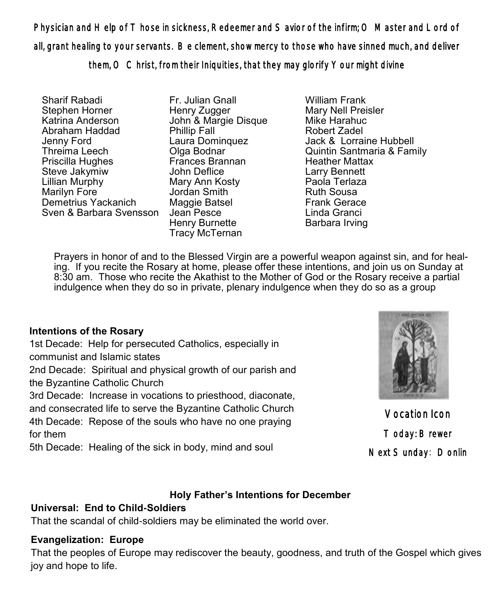Physician and Help of Those in sickness, Redeemer and Savior of the infirm; O Master and Lord of all, grant healing to your servants. Be clement, show mercy to those who have sinned much, and deliver them, O Christ, from their Iniquities, that they may glorify Your might divine

Sharif Rabadi Stephen Horner Katrina Anderson Abraham Haddad Jenny Ford Threima Leech Priscilla Hughes Steve Jakymiw Lillian Murphy Marilyn Fore<sup>1</sup> Demetrius Yackanich Sven & Barbara Svensson

Fr. Julian Gnall Henry Zugger John & Margie Disque Phillip Fall Laura Dominquez Olga Bodnar Frances Brannan John Deflice Mary Ann Kosty Jordan Smith Maggie Batsel Jean Pesce Henry Burnette Tracy McTernan

William Frank Mary Nell Preisler Mike Harahuc Robert Zadel Jack & Lorraine Hubbell Quintin Santmaria & Family Heather Mattax Larry Bennett Paola Terlaza Ruth Sousa Frank Gerace Linda Granci Barbara Irving

Prayers in honor of and to the Blessed Virgin are a powerful weapon against sin, and for healing. If you recite the Rosary at home, please offer these intentions, and join us on Sunday at 8:30 am. Those who recite the Akathist to the Mother of God or the Rosary receive a partial indulgence when they do so in private, plenary indulgence when they do so as a group

### **Intentions of the Rosary**

1st Decade: Help for persecuted Catholics, especially in communist and Islamic states 2nd Decade: Spiritual and physical growth of our parish and the Byzantine Catholic Church

3rd Decade: Increase in vocations to priesthood, diaconate, and consecrated life to serve the Byzantine Catholic Church

4th Decade: Repose of the souls who have no one praying for them

5th Decade: Healing of the sick in body, mind and soul



Vocation Icon Today: Brewer Next Sunday: Donlin

## **Holy Father's Intentions for December**

## **Universal: End to Child-Soldiers**

That the scandal of child-soldiers may be eliminated the world over.

## **Evangelization: Europe**

That the peoples of Europe may rediscover the beauty, goodness, and truth of the Gospel which gives joy and hope to life.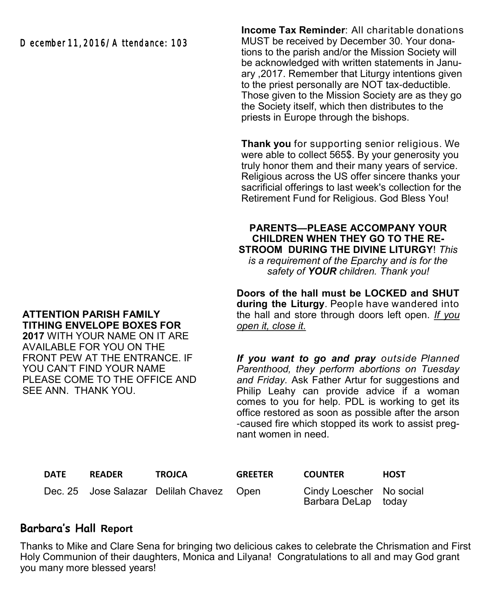December 11, 2016/A ttendance: 103

**Income Tax Reminder**: All charitable donations MUST be received by December 30. Your donations to the parish and/or the Mission Society will be acknowledged with written statements in January ,2017. Remember that Liturgy intentions given to the priest personally are NOT tax-deductible. Those given to the Mission Society are as they go the Society itself, which then distributes to the priests in Europe through the bishops.

**Thank you** for supporting senior religious. We were able to collect 565\$. By your generosity you truly honor them and their many years of service. Religious across the US offer sincere thanks your sacrificial offerings to last week's collection for the Retirement Fund for Religious. God Bless You!

**PARENTS—PLEASE ACCOMPANY YOUR CHILDREN WHEN THEY GO TO THE RE-STROOM DURING THE DIVINE LITURGY**! *This is a requirement of the Eparchy and is for the safety of YOUR children. Thank you!* 

**Doors of the hall must be LOCKED and SHUT during the Liturgy**. People have wandered into the hall and store through doors left open. *If you open it, close it.* 

*If you want to go and pray outside Planned Parenthood, they perform abortions on Tuesday and Friday.* Ask Father Artur for suggestions and Philip Leahy can provide advice if a woman comes to you for help. PDL is working to get its office restored as soon as possible after the arson -caused fire which stopped its work to assist pregnant women in need.

| <b>DATE</b> | <b>READER</b> | <b>TROJCA</b>                            | <b>GREETER</b> | <b>COUNTER</b>                                  | <b>HOST</b> |
|-------------|---------------|------------------------------------------|----------------|-------------------------------------------------|-------------|
|             |               | Dec. 25 Jose Salazar Delilah Chavez Open |                | Cindy Loescher No social<br>Barbara DeLap today |             |

### **Barbara's Hall Report**

Thanks to Mike and Clare Sena for bringing two delicious cakes to celebrate the Chrismation and First Holy Communion of their daughters, Monica and Lilyana! Congratulations to all and may God grant you many more blessed years!

## **ATTENTION PARISH FAMILY TITHING ENVELOPE BOXES FOR**

**2017** WITH YOUR NAME ON IT ARE AVAILABLE FOR YOU ON THE FRONT PEW AT THE ENTRANCE. IF YOU CAN'T FIND YOUR NAME PLEASE COME TO THE OFFICE AND SEE ANN. THANK YOU.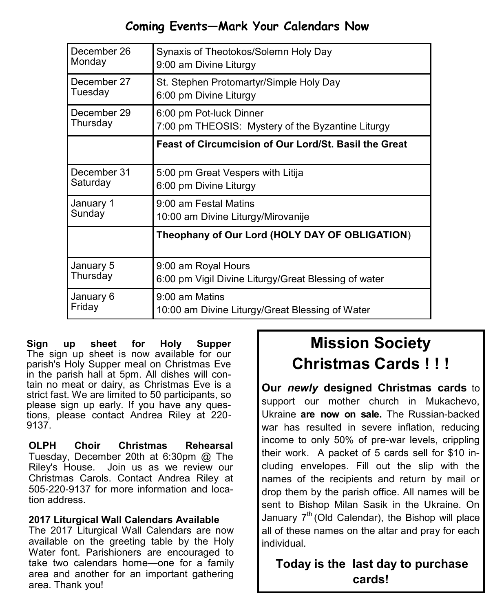# **Coming Events—Mark Your Calendars Now**

| December 26 | Synaxis of Theotokos/Solemn Holy Day                  |  |  |
|-------------|-------------------------------------------------------|--|--|
| Monday      | 9:00 am Divine Liturgy                                |  |  |
| December 27 | St. Stephen Protomartyr/Simple Holy Day               |  |  |
| Tuesday     | 6:00 pm Divine Liturgy                                |  |  |
| December 29 | 6:00 pm Pot-luck Dinner                               |  |  |
| Thursday    | 7:00 pm THEOSIS: Mystery of the Byzantine Liturgy     |  |  |
|             | Feast of Circumcision of Our Lord/St. Basil the Great |  |  |
| December 31 | 5:00 pm Great Vespers with Litija                     |  |  |
| Saturday    | 6:00 pm Divine Liturgy                                |  |  |
| January 1   | 9:00 am Festal Matins                                 |  |  |
| Sunday      | 10:00 am Divine Liturgy/Mirovanije                    |  |  |
|             | Theophany of Our Lord (HOLY DAY OF OBLIGATION)        |  |  |
| January 5   | 9:00 am Royal Hours                                   |  |  |
| Thursday    | 6:00 pm Vigil Divine Liturgy/Great Blessing of water  |  |  |
| January 6   | $9:00$ am Matins                                      |  |  |
| Friday      | 10:00 am Divine Liturgy/Great Blessing of Water       |  |  |

**Sign up sheet for Holy Supper**  The sign up sheet is now available for our parish's Holy Supper meal on Christmas Eve in the parish hall at 5pm. All dishes will contain no meat or dairy, as Christmas Eve is a strict fast. We are limited to 50 participants, so please sign up early. If you have any questions, please contact Andrea Riley at 220- 9137.

**OLPH Choir Christmas Rehearsal** Tuesday, December 20th at 6:30pm @ The Riley's House. Join us as we review our Christmas Carols. Contact Andrea Riley at 505-220-9137 for more information and location address.

#### **2017 Liturgical Wall Calendars Available**

The 2017 Liturgical Wall Calendars are now available on the greeting table by the Holy Water font. Parishioners are encouraged to take two calendars home—one for a family area and another for an important gathering area. Thank you!

# **Mission Society Christmas Cards ! ! !**

**Our** *newly* **designed Christmas cards** to support our mother church in Mukachevo, Ukraine **are now on sale.** The Russian-backed war has resulted in severe inflation, reducing income to only 50% of pre-war levels, crippling their work. A packet of 5 cards sell for \$10 including envelopes. Fill out the slip with the names of the recipients and return by mail or drop them by the parish office. All names will be sent to Bishop Milan Sasik in the Ukraine. On January  $7<sup>th</sup>$  (Old Calendar), the Bishop will place all of these names on the altar and pray for each individual.

# **Today is the last day to purchase cards!**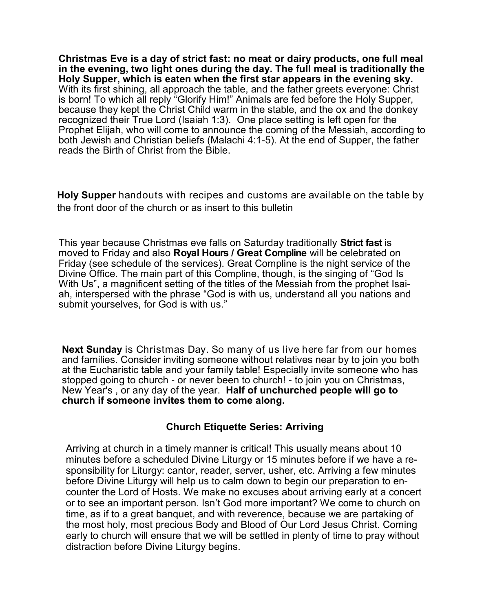**Christmas Eve is a day of strict fast: no meat or dairy products, one full meal in the evening, two light ones during the day. The full meal is traditionally the Holy Supper, which is eaten when the first star appears in the evening sky.** With its first shining, all approach the table, and the father greets everyone: Christ is born! To which all reply "Glorify Him!" Animals are fed before the Holy Supper, because they kept the Christ Child warm in the stable, and the ox and the donkey recognized their True Lord (Isaiah 1:3). One place setting is left open for the Prophet Elijah, who will come to announce the coming of the Messiah, according to both Jewish and Christian beliefs (Malachi 4:1-5). At the end of Supper, the father reads the Birth of Christ from the Bible.

**Holy Supper** handouts with recipes and customs are available on the table by the front door of the church or as insert to this bulletin

This year because Christmas eve falls on Saturday traditionally **Strict fast** is moved to Friday and also **Royal Hours / Great Compline** will be celebrated on Friday (see schedule of the services). Great Compline is the night service of the Divine Office. The main part of this Compline, though, is the singing of "God Is With Us", a magnificent setting of the titles of the Messiah from the prophet Isaiah, interspersed with the phrase "God is with us, understand all you nations and submit yourselves, for God is with us."

**Next Sunday** is Christmas Day. So many of us live here far from our homes and families. Consider inviting someone without relatives near by to join you both at the Eucharistic table and your family table! Especially invite someone who has stopped going to church - or never been to church! - to join you on Christmas, New Year's , or any day of the year. **Half of unchurched people will go to church if someone invites them to come along.**

#### **Church Etiquette Series: Arriving**

Arriving at church in a timely manner is critical! This usually means about 10 minutes before a scheduled Divine Liturgy or 15 minutes before if we have a responsibility for Liturgy: cantor, reader, server, usher, etc. Arriving a few minutes before Divine Liturgy will help us to calm down to begin our preparation to encounter the Lord of Hosts. We make no excuses about arriving early at a concert or to see an important person. Isn't God more important? We come to church on time, as if to a great banquet, and with reverence, because we are partaking of the most holy, most precious Body and Blood of Our Lord Jesus Christ. Coming early to church will ensure that we will be settled in plenty of time to pray without distraction before Divine Liturgy begins.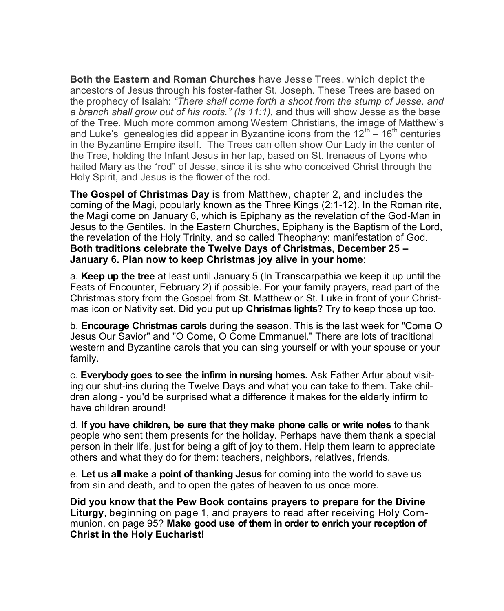**Both the Eastern and Roman Churches** have Jesse Trees, which depict the ancestors of Jesus through his foster-father St. Joseph. These Trees are based on the prophecy of Isaiah: *"There shall come forth a shoot from the stump of Jesse, and a branch shall grow out of his roots." (Is 11:1),* and thus will show Jesse as the base of the Tree. Much more common among Western Christians, the image of Matthew's and Luke's genealogies did appear in Byzantine icons from the 12<sup>th</sup>  $-$  16<sup>th</sup> centuries in the Byzantine Empire itself. The Trees can often show Our Lady in the center of the Tree, holding the Infant Jesus in her lap, based on St. Irenaeus of Lyons who hailed Mary as the "rod" of Jesse, since it is she who conceived Christ through the Holy Spirit, and Jesus is the flower of the rod.

**The Gospel of Christmas Day** is from Matthew, chapter 2, and includes the coming of the Magi, popularly known as the Three Kings (2:1-12). In the Roman rite, the Magi come on January 6, which is Epiphany as the revelation of the God-Man in Jesus to the Gentiles. In the Eastern Churches, Epiphany is the Baptism of the Lord, the revelation of the Holy Trinity, and so called Theophany: manifestation of God. **Both traditions celebrate the Twelve Days of Christmas, December 25 – January 6. Plan now to keep Christmas joy alive in your home**:

a. **Keep up the tree** at least until January 5 (In Transcarpathia we keep it up until the Feats of Encounter, February 2) if possible. For your family prayers, read part of the Christmas story from the Gospel from St. Matthew or St. Luke in front of your Christmas icon or Nativity set. Did you put up **Christmas lights**? Try to keep those up too.

b. **Encourage Christmas carols** during the season. This is the last week for "Come O Jesus Our Savior" and "O Come, O Come Emmanuel." There are lots of traditional western and Byzantine carols that you can sing yourself or with your spouse or your family.

c. **Everybody goes to see the infirm in nursing homes.** Ask Father Artur about visiting our shut-ins during the Twelve Days and what you can take to them. Take children along - you'd be surprised what a difference it makes for the elderly infirm to have children around!

d. **If you have children, be sure that they make phone calls or write notes** to thank people who sent them presents for the holiday. Perhaps have them thank a special person in their life, just for being a gift of joy to them. Help them learn to appreciate others and what they do for them: teachers, neighbors, relatives, friends.

e. **Let us all make a point of thanking Jesus** for coming into the world to save us from sin and death, and to open the gates of heaven to us once more.

**Did you know that the Pew Book contains prayers to prepare for the Divine Liturgy**, beginning on page 1, and prayers to read after receiving Holy Communion, on page 95? **Make good use of them in order to enrich your reception of Christ in the Holy Eucharist!**